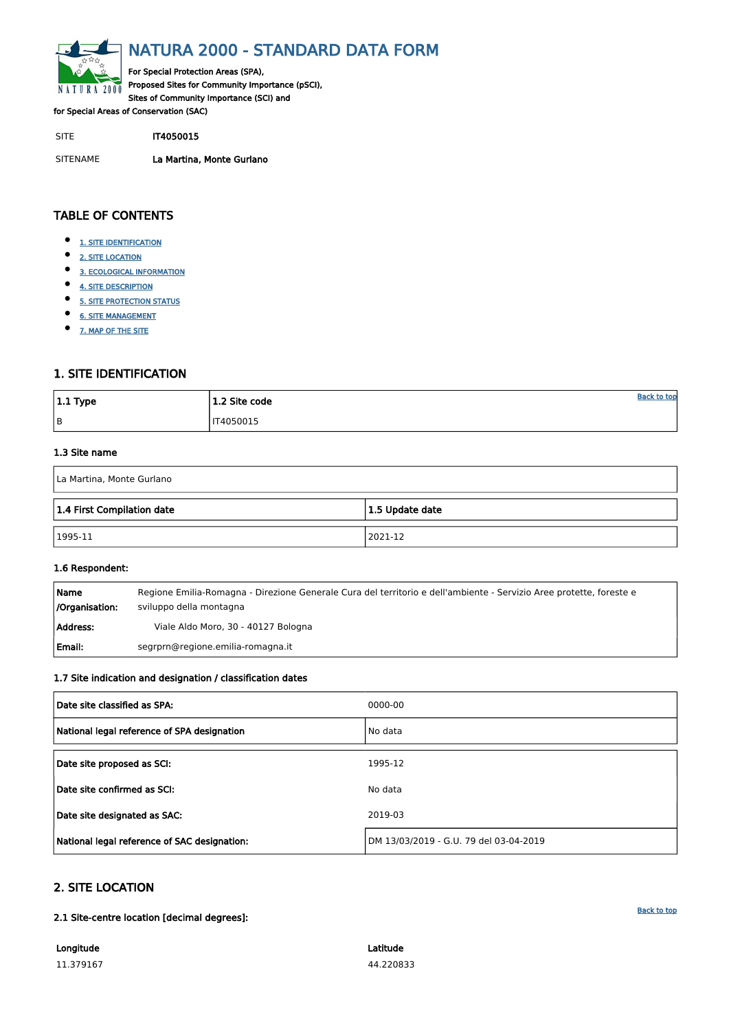$\mathbf{I}$ 

<span id="page-0-0"></span>

# NATURA 2000 - STANDARD DATA FORM

For Special Protection Areas (SPA), Proposed Sites for Community Importance (pSCI), Sites of Community Importance (SCI) and

for Special Areas of Conservation (SAC)

SITE **IT4050015** 

- $\bullet$ [1. SITE IDENTIFICATION](#page-0-1)
- $\bullet$ [2. SITE LOCATION](#page-0-2)
- $\bullet$ [3. ECOLOGICAL INFORMATION](#page-1-0)
- $\bullet$ [4. SITE DESCRIPTION](#page-3-0)
- $\bullet$ [5. SITE PROTECTION STATUS](#page-4-0)
- $\bullet$ [6. SITE MANAGEMENT](#page-4-1)
- $\bullet$ [7. MAP OF THE SITE](#page-5-0)

SITENAME La Martina, Monte Gurlano

| $ 1.1$ Type | 1.2 Site code    | <b>Back to top</b> |
|-------------|------------------|--------------------|
| B           | <b>IT4050015</b> |                    |

# TABLE OF CONTENTS

# <span id="page-0-1"></span>1. SITE IDENTIFICATION

# 1.3 Site name

| La Martina, Monte Gurlano  |                 |
|----------------------------|-----------------|
| 1.4 First Compilation date | 1.5 Update date |
| $ 1995-11$                 | 2021-12         |

### 1.6 Respondent:

| Name<br>/Organisation: | Regione Emilia-Romagna - Direzione Generale Cura del territorio e dell'ambiente - Servizio Aree protette, foreste e<br>sviluppo della montagna |
|------------------------|------------------------------------------------------------------------------------------------------------------------------------------------|
| Address:               | Viale Aldo Moro, 30 - 40127 Bologna                                                                                                            |
| Email:                 | segrprn@regione.emilia-romagna.it                                                                                                              |

# 1.7 Site indication and designation / classification dates

| Date site classified as SPA:                | 0000-00 |
|---------------------------------------------|---------|
| National legal reference of SPA designation | No data |

| Date site confirmed as SCI:                  | No data                                |
|----------------------------------------------|----------------------------------------|
| Date site designated as SAC:                 | 2019-03                                |
| National legal reference of SAC designation: | DM 13/03/2019 - G.U. 79 del 03-04-2019 |

# <span id="page-0-2"></span>2. SITE LOCATION

### 2.1 Site-centre location [decimal degrees]:

Longitude

11.379167

Latitude 44.220833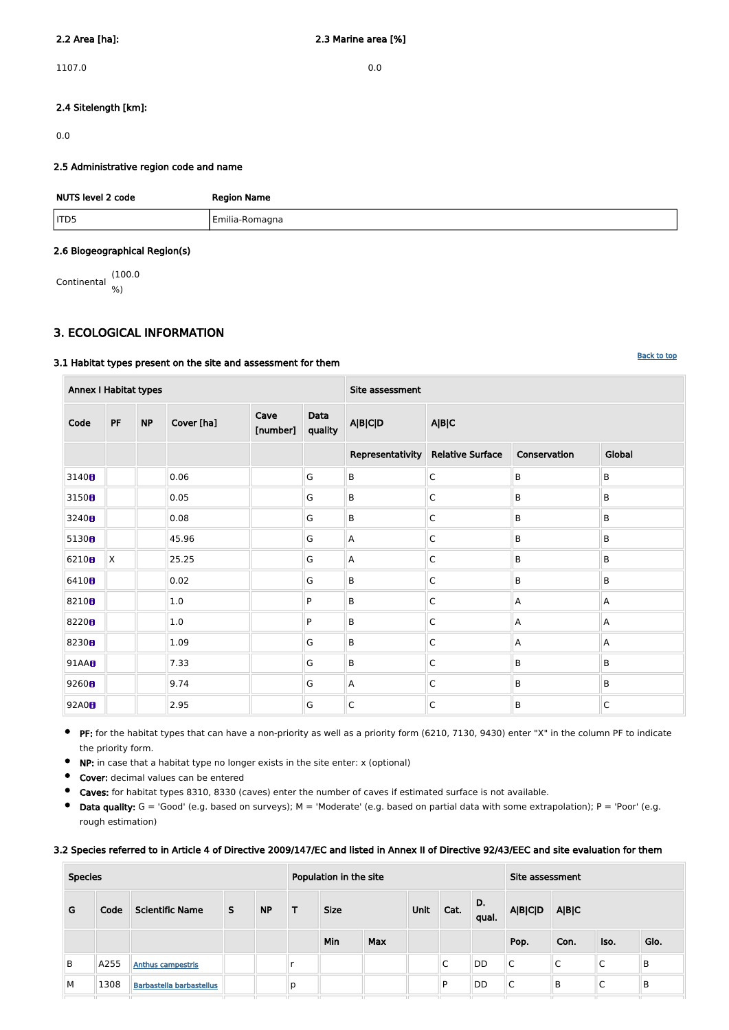$1107.0$  0.0

# 2.4 Sitelength [km]:

0.0

# 2.5 Administrative region code and name

| NUTS level 2 code | <b>Region Name</b> |
|-------------------|--------------------|
| ITD5              | Emilia-Romagna     |

# 2.6 Biogeographical Region(s)

Continental (100.0 %)

# <span id="page-1-0"></span>3. ECOLOGICAL INFORMATION

# 3.1 Habitat types present on the site and assessment for them

 $\bullet$ PF: for the habitat types that can have a non-priority as well as a priority form (6210, 7130, 9430) enter "X" in the column PF to indicate the priority form.

 $\bullet$ NP: in case that a habitat type no longer exists in the site enter: x (optional)

| <b>Annex I Habitat types</b> |    |           |            |                  |                 | Site assessment         |                         |                |              |  |  |  |  |
|------------------------------|----|-----------|------------|------------------|-----------------|-------------------------|-------------------------|----------------|--------------|--|--|--|--|
| Code                         | PF | <b>NP</b> | Cover [ha] | Cave<br>[number] | Data<br>quality | <b>A B C D</b>          | A B C                   |                |              |  |  |  |  |
|                              |    |           |            |                  |                 | Representativity        | <b>Relative Surface</b> | Conservation   | Global       |  |  |  |  |
| 3140 <sub>8</sub>            |    |           | 0.06       |                  | G               | $\sf B$                 | C                       | B              | B            |  |  |  |  |
| 3150 <sub>B</sub>            |    |           | 0.05       |                  | G               | B                       | $\mathsf C$             | $\mathsf B$    | B            |  |  |  |  |
| 3240 <sub>8</sub>            |    |           | 0.08       |                  | G               | $\sf B$                 | $\mathsf C$             | $\sf B$        | B            |  |  |  |  |
| 5130 <sub>0</sub>            |    |           | 45.96      |                  | G               | $\overline{\mathsf{A}}$ | $\mathsf C$             | $\sf B$        | B            |  |  |  |  |
| 6210 <sub>0</sub>            | X. |           | 25.25      |                  | G               | A                       | $\mathsf C$             | $\mathsf B$    | B            |  |  |  |  |
| 6410B                        |    |           | 0.02       |                  | G               | $\sf B$                 | $\mathsf C$             | B              | B            |  |  |  |  |
| 8210 <sub>8</sub>            |    |           | 1.0        |                  | P               | $\sf B$                 | $\mathsf C$             | $\mathsf{A}$   | Α            |  |  |  |  |
| 8220 <sub>8</sub>            |    |           | $1.0\,$    |                  | P               | B                       | $\mathsf C$             | $\overline{A}$ | A            |  |  |  |  |
| 8230 <sub>8</sub>            |    |           | 1.09       |                  | G               | $\sf B$                 | $\mathsf C$             | $\overline{A}$ | A            |  |  |  |  |
| 91AA <b>B</b>                |    |           | 7.33       |                  | G               | $\sf B$                 | $\mathsf C$             | $\sf B$        | B            |  |  |  |  |
| 9260 <sub>B</sub>            |    |           | 9.74       |                  | G               | $\overline{A}$          | $\mathsf C$             | B              | B            |  |  |  |  |
| 92A0 <sub>B</sub>            |    |           | 2.95       |                  | G               | $\overline{C}$          | $\mathsf C$             | B              | $\mathsf{C}$ |  |  |  |  |

- Cover: decimal values can be entered
- 
- Caves: for habitat types 8310, 8330 (caves) enter the number of caves if estimated surface is not available.  $\bullet$
- $\bullet$ Data quality:  $G = 'Good'$  (e.g. based on surveys);  $M = 'Modern'$  (e.g. based on partial data with some extrapolation);  $P = 'Poor'$  (e.g. rough estimation)

### 3.2 Species referred to in Article 4 of Directive 2009/147/EC and listed in Annex II of Directive 92/43/EEC and site evaluation for them

| <b>Species</b> |      |                                 |    |           | Population in the site |             |            | Site assessment |      |                       |                |       |      |      |
|----------------|------|---------------------------------|----|-----------|------------------------|-------------|------------|-----------------|------|-----------------------|----------------|-------|------|------|
| G              | Code | <b>Scientific Name</b>          | S. | <b>NP</b> |                        | <b>Size</b> |            |                 | Cat. | $\mathbf{D}$<br>qual. | <b>A B C D</b> | A B C |      |      |
|                |      |                                 |    |           |                        | Min         | <b>Max</b> |                 |      |                       | Pop.           | Con.  | Iso. | Glo. |
| B              | A255 | <b>Anthus campestris</b>        |    |           |                        |             |            |                 | С    | DD                    | C              | C     | C    | B    |
| M              | 1308 | <b>Barbastella barbastellus</b> |    |           | р                      |             |            |                 | P    | DD                    | ┌<br>◡         | B     | ◡    | B    |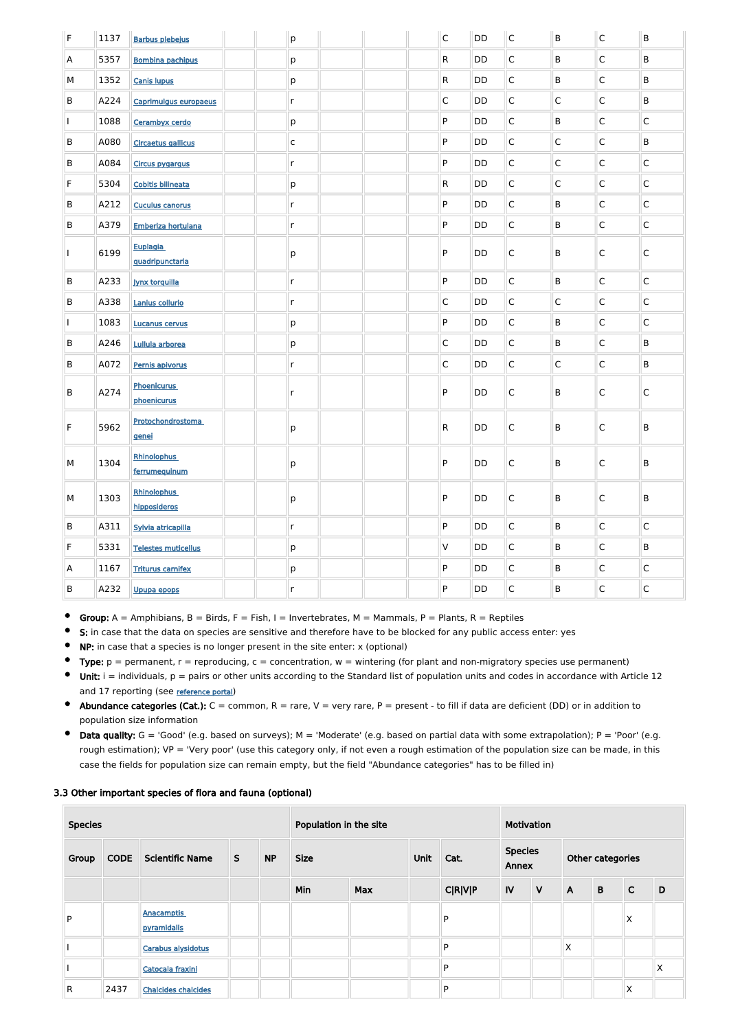| $\mathsf F$ | 1137 | <b>Barbus plebejus</b>              | p            |  | $\mathsf{C}$ | <b>DD</b> | $\mathsf{C}$ | B              | $\overline{\mathsf{C}}$ | B            |
|-------------|------|-------------------------------------|--------------|--|--------------|-----------|--------------|----------------|-------------------------|--------------|
| A           | 5357 | <b>Bombina pachipus</b>             | р            |  | $\mathsf{R}$ | DD        | $\mathsf{C}$ | B              | $\overline{\mathsf{C}}$ | B            |
| М           | 1352 | <b>Canis lupus</b>                  | р            |  | $\mathsf{R}$ | DD        | $\mathsf{C}$ | B              | $\overline{\mathsf{C}}$ | B            |
| B           | A224 | Caprimulgus europaeus               | $\mathsf{r}$ |  | $\mathsf{C}$ | DD        | $\mathsf{C}$ | $\overline{C}$ | $\overline{\mathsf{C}}$ | B            |
|             | 1088 | Cerambyx cerdo                      | р            |  | P            | DD        | $\mathsf{C}$ | $\sf B$        | $\overline{\mathsf{C}}$ | C            |
| B           | A080 | <b>Circaetus gallicus</b>           | $\mathsf C$  |  | P            | DD        | $\mathsf C$  | $\mathsf C$    | $\overline{\mathsf{C}}$ | B            |
| B           | A084 | <b>Circus pygargus</b>              | $\mathsf{r}$ |  | P            | DD        | $\mathsf{C}$ | $\mathsf C$    | $\overline{\mathsf{C}}$ | C            |
| F           | 5304 | <b>Cobitis bilineata</b>            | p            |  | $\mathsf{R}$ | DD        | $\mathsf C$  | $\mathsf C$    | $\overline{\mathsf{C}}$ | $\mathsf C$  |
| B           | A212 | <b>Cuculus canorus</b>              | $\mathsf{r}$ |  | P            | DD        | $\mathsf{C}$ | B              | $\overline{\mathsf{C}}$ | $\mathsf C$  |
| B           | A379 | Emberiza hortulana                  | $\mathsf{r}$ |  | P            | DD        | $\mathsf{C}$ | B              | $\overline{\mathsf{C}}$ | $\mathsf C$  |
|             | 6199 | Euplagia<br>quadripunctaria         | p            |  | P            | DD        | $\mathsf{C}$ | B              | $\overline{\mathsf{C}}$ | C            |
| B           | A233 | <b>Jynx torquilla</b>               | $\mathsf{r}$ |  | P            | DD        | $\mathsf{C}$ | B              | $\overline{\mathsf{C}}$ | $\mathsf C$  |
| B           | A338 | Lanius collurio                     | $\mathsf{r}$ |  | $\mathsf C$  | DD        | $\mathsf C$  | $\mathsf C$    | $\overline{\mathsf{C}}$ | $\mathsf C$  |
|             | 1083 | <b>Lucanus cervus</b>               | р            |  | P            | DD        | $\mathsf C$  | B              | $\overline{\mathsf{C}}$ | $\mathsf C$  |
| B           | A246 | Lullula arborea                     | р            |  | $\mathsf C$  | DD        | $\mathsf C$  | B              | $\overline{\mathsf{C}}$ | B            |
| B           | A072 | Pernis apivorus                     | r            |  | $\mathsf C$  | DD        | $\mathsf C$  | $\overline{C}$ | $\overline{\mathsf{C}}$ | B            |
| B           | A274 | <b>Phoenicurus</b><br>phoenicurus   | $\mathsf{r}$ |  | ${\sf P}$    | DD        | $\mathsf{C}$ | B              | $\overline{\mathsf{C}}$ | $\mathsf C$  |
| F           | 5962 | Protochondrostoma<br>genei          | p            |  | $\mathsf{R}$ | DD        | $\mathsf C$  | B              | $\overline{\mathsf{C}}$ | $\sf B$      |
| M           | 1304 | <b>Rhinolophus</b><br>ferrumequinum | р            |  | ${\sf P}$    | DD        | $\mathsf C$  | $\sf B$        | $\overline{\mathsf{C}}$ | B            |
| М           | 1303 | <b>Rhinolophus</b><br>hipposideros  | p            |  | P            | <b>DD</b> | $\mathsf C$  | $\sf B$        | $\overline{\mathsf{C}}$ | B            |
| $\sf B$     | A311 | Sylvia atricapilla                  | $\mathsf{r}$ |  | P            | DD        | $\mathsf C$  | B              | $\overline{\mathsf{C}}$ | $\mathsf{C}$ |
| F           | 5331 | <b>Telestes muticellus</b>          | p            |  | V            | DD        | $\mathsf C$  | B              | $\overline{\mathsf{C}}$ | B            |
| A           | 1167 | <b>Triturus carnifex</b>            | р            |  | P            | DD        | $\mathsf{C}$ | B              | $\overline{\mathsf{C}}$ | C            |
| B           | A232 | Upupa epops                         | r            |  | P            | DD        | $\mathsf{C}$ | B              | $\overline{\mathsf{C}}$ | $\mathsf{C}$ |

Group:  $A =$  Amphibians,  $B =$  Birds,  $F =$  Fish, I = Invertebrates, M = Mammals, P = Plants, R = Reptiles  $\bullet$ 

- $\bullet$ S: in case that the data on species are sensitive and therefore have to be blocked for any public access enter: yes
- $\bullet$ NP: in case that a species is no longer present in the site enter: x (optional)
- Type:  $p =$  permanent,  $r =$  reproducing,  $c =$  concentration,  $w =$  wintering (for plant and non-migratory species use permanent)  $\bullet$
- $\bullet$ Unit:  $i =$  individuals,  $p =$  pairs or other units according to the Standard list of population units and codes in accordance with Article 12 and 17 reporting (see [reference portal](http://bd.eionet.europa.eu/activities/Natura_2000/reference_portal))
- Abundance categories (Cat.):  $C =$  common,  $R =$  rare,  $V =$  very rare,  $P =$  present to fill if data are deficient (DD) or in addition to population size information
- Data quality:  $G = 'Good'$  (e.g. based on surveys);  $M = 'Modern'$  (e.g. based on partial data with some extrapolation);  $P = 'Poor'$  (e.g.  $\bullet$ rough estimation); VP = 'Very poor' (use this category only, if not even a rough estimation of the population size can be made, in this case the fields for population size can remain empty, but the field "Abundance categories" has to be filled in)

### 3.3 Other important species of flora and fauna (optional)

| <b>Species</b> |             |                                  |   | Population in the site |             |            |      | Motivation     |                         |              |                  |             |              |   |  |
|----------------|-------------|----------------------------------|---|------------------------|-------------|------------|------|----------------|-------------------------|--------------|------------------|-------------|--------------|---|--|
| Group          | <b>CODE</b> | <b>Scientific Name</b>           | S | <b>NP</b>              | <b>Size</b> |            | Unit | Cat.           | <b>Species</b><br>Annex |              | Other categories |             |              |   |  |
|                |             |                                  |   |                        | Min         | <b>Max</b> |      | <b>C R V P</b> | IV                      | $\mathsf{V}$ | $\mathsf{A}$     | $\mathbf B$ | $\mathsf{C}$ | D |  |
| P              |             | <b>Anacamptis</b><br>pyramidalis |   |                        |             |            |      | P              |                         |              |                  |             | X            |   |  |
|                |             | Carabus alysidotus               |   |                        |             |            |      | P              |                         |              | X                |             |              |   |  |
|                |             | Catocala fraxini                 |   |                        |             |            |      | P              |                         |              |                  |             |              | X |  |
| $\mathsf{R}$   | 2437        | <b>Chalcides chalcides</b>       |   |                        |             |            |      | P              |                         |              |                  |             | X            |   |  |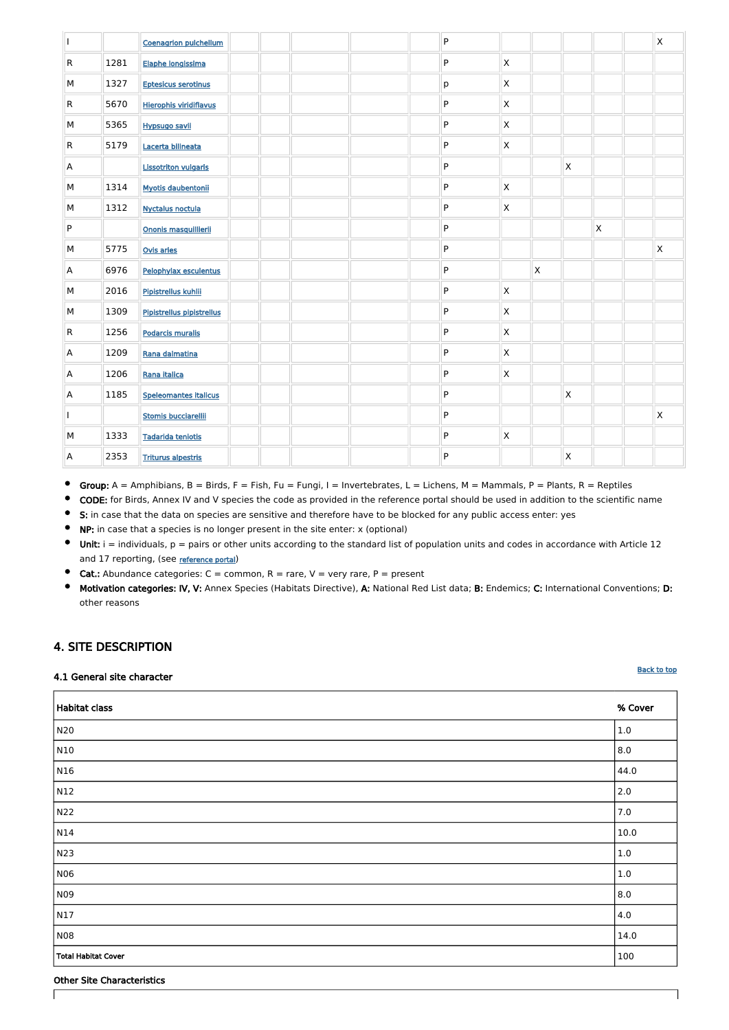٦

| $\mathbf{I}$            |      | <b>Coenagrion pulchellum</b>  |  |  | ${\sf P}$ |                           |                           |              |              | $\mathsf{X}$ |
|-------------------------|------|-------------------------------|--|--|-----------|---------------------------|---------------------------|--------------|--------------|--------------|
| $\mathsf{R}$            | 1281 | Elaphe longissima             |  |  | ${\sf P}$ | $\mathsf{X}$              |                           |              |              |              |
| M                       | 1327 | <b>Eptesicus serotinus</b>    |  |  | р         | $\mathsf X$               |                           |              |              |              |
| $\overline{\mathsf{R}}$ | 5670 | <b>Hierophis viridiflavus</b> |  |  | ${\sf P}$ | $\mathsf X$               |                           |              |              |              |
| M                       | 5365 | <b>Hypsugo savii</b>          |  |  | ${\sf P}$ | $\mathsf X$               |                           |              |              |              |
| $\overline{\mathsf{R}}$ | 5179 | Lacerta bilineata             |  |  | ${\sf P}$ | $\mathsf X$               |                           |              |              |              |
| $\mathsf{A}$            |      | <b>Lissotriton vulgaris</b>   |  |  | ${\sf P}$ |                           |                           | $\mathsf X$  |              |              |
| ${\sf M}$               | 1314 | <b>Myotis daubentonii</b>     |  |  | ${\sf P}$ | $\boldsymbol{\mathsf{X}}$ |                           |              |              |              |
| M                       | 1312 | <b>Nyctalus noctula</b>       |  |  | ${\sf P}$ | $\mathsf X$               |                           |              |              |              |
| ${\sf P}$               |      | Ononis masquillierii          |  |  | ${\sf P}$ |                           |                           |              | $\mathsf{X}$ |              |
| M                       | 5775 | Ovis aries                    |  |  | ${\sf P}$ |                           |                           |              |              | $\mathsf{X}$ |
| $\mathsf{A}$            | 6976 | Pelophylax esculentus         |  |  | ${\sf P}$ |                           | $\boldsymbol{\mathsf{X}}$ |              |              |              |
| ${\sf M}$               | 2016 | Pipistrellus kuhlii           |  |  | ${\sf P}$ | $\mathsf X$               |                           |              |              |              |
| ${\sf M}$               | 1309 | Pipistrellus pipistrellus     |  |  | ${\sf P}$ | $\mathsf X$               |                           |              |              |              |
| $\overline{\mathsf{R}}$ | 1256 | <b>Podarcis muralis</b>       |  |  | ${\sf P}$ | $\mathsf X$               |                           |              |              |              |
| A                       | 1209 | Rana dalmatina                |  |  | ${\sf P}$ | $\boldsymbol{\mathsf{X}}$ |                           |              |              |              |
| $\mathsf{A}$            | 1206 | Rana italica                  |  |  | ${\sf P}$ | $\boldsymbol{\mathsf{X}}$ |                           |              |              |              |
| $\overline{\mathsf{A}}$ | 1185 | <b>Speleomantes italicus</b>  |  |  | ${\sf P}$ |                           |                           | $\mathsf{X}$ |              |              |
| $\mathbf{I}$            |      | <b>Stomis bucciarellii</b>    |  |  | ${\sf P}$ |                           |                           |              |              | $\mathsf{X}$ |
| M                       | 1333 | <b>Tadarida teniotis</b>      |  |  | ${\sf P}$ | $\boldsymbol{\mathsf{X}}$ |                           |              |              |              |
| A                       | 2353 | <b>Triturus alpestris</b>     |  |  | ${\sf P}$ |                           |                           | $\mathsf X$  |              |              |

- $\bullet$ Group:  $A =$  Amphibians,  $B =$  Birds,  $F =$  Fish,  $Fu =$  Fungi,  $I =$  Invertebrates,  $L =$  Lichens,  $M =$  Mammals,  $P =$  Plants,  $R =$  Reptiles
- $\bullet$ CODE: for Birds, Annex IV and V species the code as provided in the reference portal should be used in addition to the scientific name
- $\bullet$ S: in case that the data on species are sensitive and therefore have to be blocked for any public access enter: yes
- $\bullet$ NP: in case that a species is no longer present in the site enter: x (optional)
- $\bullet$ Unit:  $i =$  individuals,  $p =$  pairs or other units according to the standard list of population units and codes in accordance with Article 12 and 17 reporting, (see [reference portal](http://bd.eionet.europa.eu/activities/Natura_2000/reference_portal))
- $\bullet$ **Cat.:** Abundance categories:  $C =$  common,  $R =$  rare,  $V =$  very rare,  $P =$  present
- $\bullet$ Motivation categories: IV, V: Annex Species (Habitats Directive), A: National Red List data; B: Endemics; C: International Conventions; D: other reasons

# <span id="page-3-0"></span>4. SITE DESCRIPTION

### 4.1 General site character

Ē

| <b>Habitat class</b>       | % Cover |
|----------------------------|---------|
| N20                        | 1.0     |
| N10                        | 8.0     |
| N16                        | 44.0    |
| N12                        | 2.0     |
| N22                        | 7.0     |
| N14                        | 10.0    |
| N23                        | $1.0\,$ |
| N06                        | $1.0\,$ |
| N <sub>09</sub>            | 8.0     |
| N17                        | 4.0     |
| <b>N08</b>                 | 14.0    |
| <b>Total Habitat Cover</b> | 100     |

### Other Site Characteristics

 $\sqrt{ }$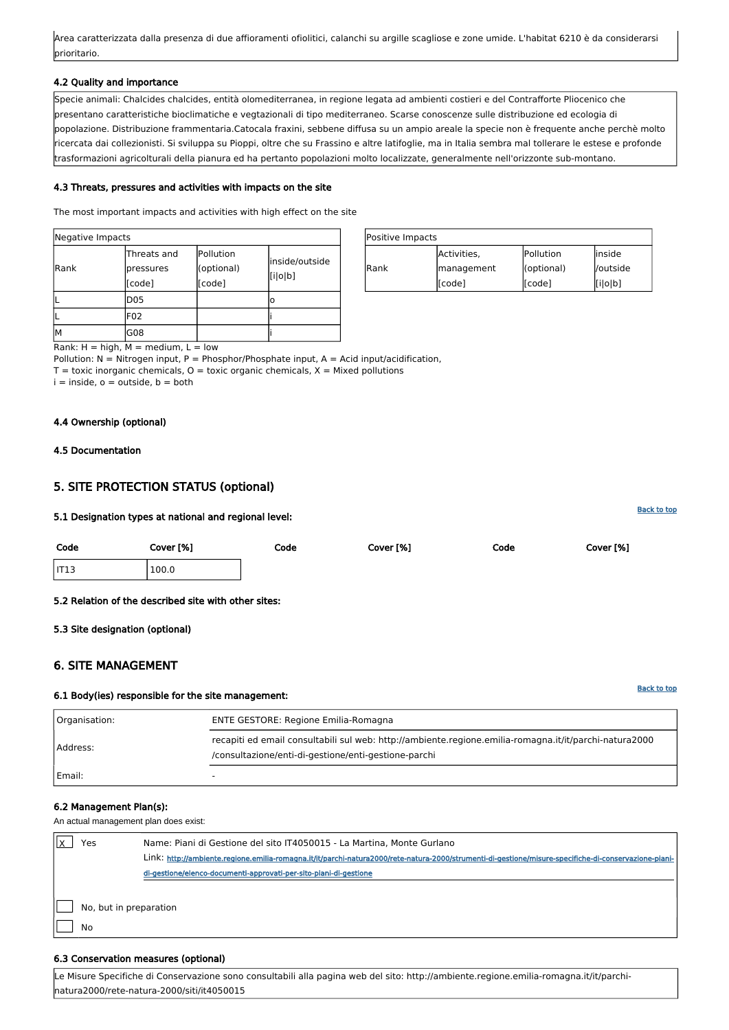| Positive Impacts |             |            |          |  |
|------------------|-------------|------------|----------|--|
|                  | Activities, | Pollution  | linside  |  |
| Rank             | management  | (optional) | /outside |  |
|                  | [[code]     | [[code]    | [i o b]  |  |

Rank:  $H = high$ ,  $M = medium$ ,  $L = low$ 

Pollution:  $N =$  Nitrogen input, P = Phosphor/Phosphate input, A = Acid input/acidification,

 $T =$  toxic inorganic chemicals,  $O =$  toxic organic chemicals,  $X =$  Mixed pollutions

 $i =$  inside,  $o =$  outside,  $b =$  both

| Negative Impacts |                                    |                                   |                           |  |
|------------------|------------------------------------|-----------------------------------|---------------------------|--|
| Rank             | Threats and<br>pressures<br>[code] | Pollution<br>(optional)<br>[code] | inside/outside<br>[i o b] |  |
|                  | D <sub>05</sub>                    |                                   | o                         |  |
|                  | F02                                |                                   |                           |  |
| lм               | G08                                |                                   |                           |  |

Area caratterizzata dalla presenza di due affioramenti ofiolitici, calanchi su argille scagliose e zone umide. L'habitat 6210 è da considerarsi prioritario.

### 4.2 Quality and importance

Specie animali: Chalcides chalcides, entità olomediterranea, in regione legata ad ambienti costieri e del Contrafforte Pliocenico che presentano caratteristiche bioclimatiche e vegtazionali di tipo mediterraneo. Scarse conoscenze sulle distribuzione ed ecologia di popolazione. Distribuzione frammentaria.Catocala fraxini, sebbene diffusa su un ampio areale la specie non è frequente anche perchè molto ricercata dai collezionisti. Si sviluppa su Pioppi, oltre che su Frassino e altre latifoglie, ma in Italia sembra mal tollerare le estese e profonde trasformazioni agricolturali della pianura ed ha pertanto popolazioni molto localizzate, generalmente nell'orizzonte sub-montano.

### 4.3 Threats, pressures and activities with impacts on the site

| 'es                          | Name: Piani di Gestione del sito IT4050015 - La Martina, Monte Gurlano<br>Link: http://ambiente.regione.emilia-romagna.it/it/parchi-natura2000/rete-natura-2000/strumenti-di-gestione/misure-specifiche-di-conservazione-piani-<br>di-gestione/elenco-documenti-approvati-per-sito-piani-di-gestione |
|------------------------------|------------------------------------------------------------------------------------------------------------------------------------------------------------------------------------------------------------------------------------------------------------------------------------------------------|
| No, but in preparation<br>Nο |                                                                                                                                                                                                                                                                                                      |

The most important impacts and activities with high effect on the site

# 4.4 Ownership (optional)

# <span id="page-4-0"></span>4.5 Documentation

# 5. SITE PROTECTION STATUS (optional)

# 5.1 Designation types at national and regional level:

| Code             | Cover [%] | Code | Cover [%] | Code | Cover [%] |
|------------------|-----------|------|-----------|------|-----------|
| IT <sub>13</sub> | 100.0     |      |           |      |           |
|                  |           |      |           |      |           |

# 5.2 Relation of the described site with other sites:

<span id="page-4-1"></span>5.3 Site designation (optional)

# 6. SITE MANAGEMENT

# 6.1 Body(ies) responsible for the site management:

| Organisation: | <b>ENTE GESTORE: Regione Emilia-Romagna</b>                                                                                                                    |
|---------------|----------------------------------------------------------------------------------------------------------------------------------------------------------------|
| Address:      | recapiti ed email consultabili sul web: http://ambiente.regione.emilia-romagna.it/it/parchi-natura2000<br>/consultazione/enti-di-gestione/enti-gestione-parchi |
| Email:        |                                                                                                                                                                |

#### 6.2 Management Plan(s):

An actual management plan does exist:

#### 6.3 Conservation measures (optional)

Le Misure Specifiche di Conservazione sono consultabili alla pagina web del sito: http://ambiente.regione.emilia-romagna.it/it/parchinatura2000/rete-natura-2000/siti/it4050015